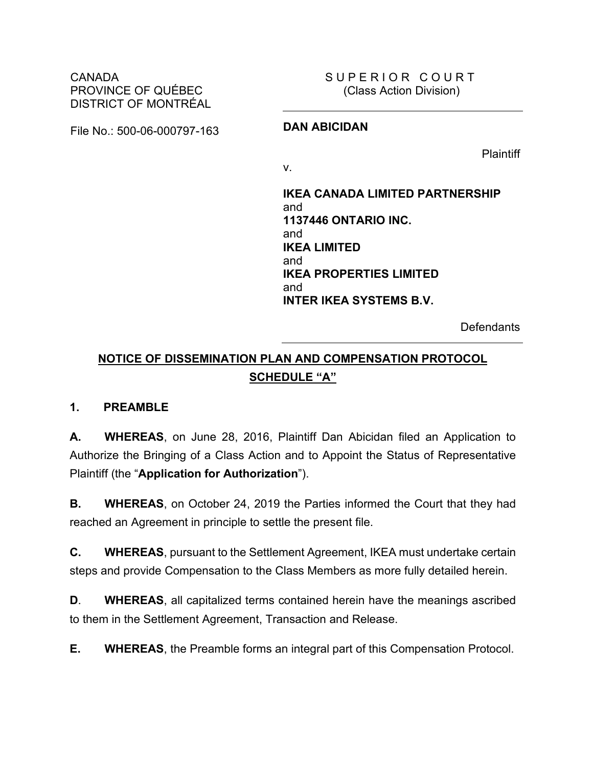CANADA PROVINCE OF QUÉBEC DISTRICT OF MONTRÉAL SUPERIOR COURT (Class Action Division)

File No.: 500-06-000797-163 **DAN ABICIDAN**

Plaintiff

v.

**IKEA CANADA LIMITED PARTNERSHIP** and **1137446 ONTARIO INC.** and **IKEA LIMITED** and **IKEA PROPERTIES LIMITED** and **INTER IKEA SYSTEMS B.V.**

**Defendants** 

# **NOTICE OF DISSEMINATION PLAN AND COMPENSATION PROTOCOL SCHEDULE "A"**

### **1. PREAMBLE**

**A. WHEREAS**, on June 28, 2016, Plaintiff Dan Abicidan filed an Application to Authorize the Bringing of a Class Action and to Appoint the Status of Representative Plaintiff (the "**Application for Authorization**").

**B. WHEREAS**, on October 24, 2019 the Parties informed the Court that they had reached an Agreement in principle to settle the present file.

**C. WHEREAS**, pursuant to the Settlement Agreement, IKEA must undertake certain steps and provide Compensation to the Class Members as more fully detailed herein.

**D**. **WHEREAS**, all capitalized terms contained herein have the meanings ascribed to them in the Settlement Agreement, Transaction and Release.

**E. WHEREAS**, the Preamble forms an integral part of this Compensation Protocol.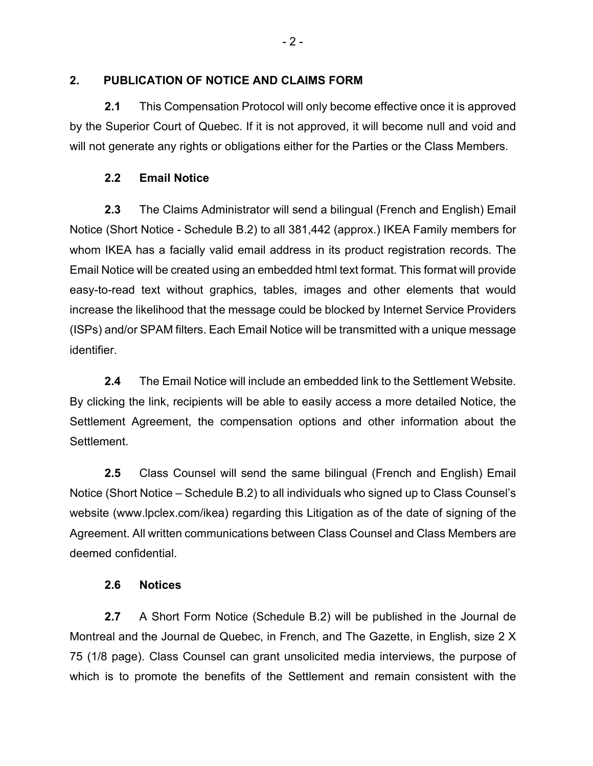## **2. PUBLICATION OF NOTICE AND CLAIMS FORM**

**2.1** This Compensation Protocol will only become effective once it is approved by the Superior Court of Quebec. If it is not approved, it will become null and void and will not generate any rights or obligations either for the Parties or the Class Members.

## **2.2 Email Notice**

**2.3** The Claims Administrator will send a bilingual (French and English) Email Notice (Short Notice - Schedule B.2) to all 381,442 (approx.) IKEA Family members for whom IKEA has a facially valid email address in its product registration records. The Email Notice will be created using an embedded html text format. This format will provide easy-to-read text without graphics, tables, images and other elements that would increase the likelihood that the message could be blocked by Internet Service Providers (ISPs) and/or SPAM filters. Each Email Notice will be transmitted with a unique message identifier.

**2.4** The Email Notice will include an embedded link to the Settlement Website. By clicking the link, recipients will be able to easily access a more detailed Notice, the Settlement Agreement, the compensation options and other information about the Settlement.

**2.5** Class Counsel will send the same bilingual (French and English) Email Notice (Short Notice – Schedule B.2) to all individuals who signed up to Class Counsel's website (www.lpclex.com/ikea) regarding this Litigation as of the date of signing of the Agreement. All written communications between Class Counsel and Class Members are deemed confidential.

### **2.6 Notices**

**2.7** A Short Form Notice (Schedule B.2) will be published in the Journal de Montreal and the Journal de Quebec, in French, and The Gazette, in English, size 2 X 75 (1/8 page). Class Counsel can grant unsolicited media interviews, the purpose of which is to promote the benefits of the Settlement and remain consistent with the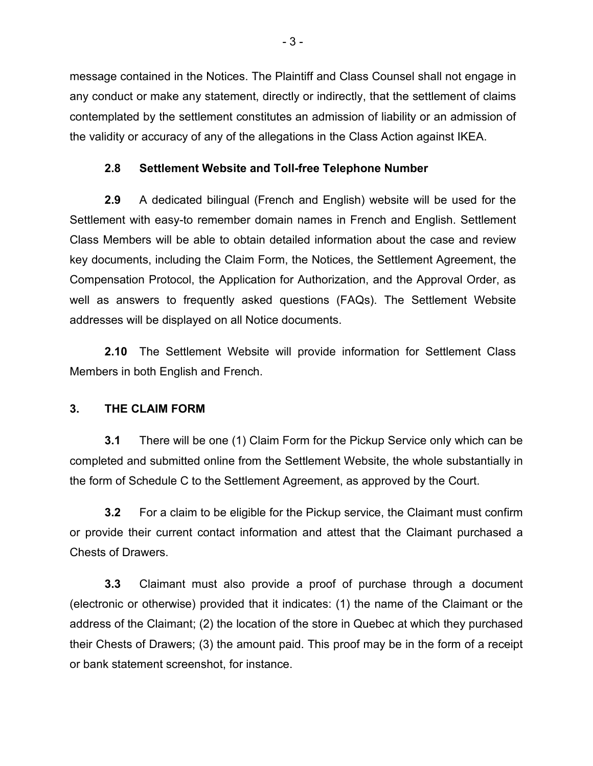message contained in the Notices. The Plaintiff and Class Counsel shall not engage in any conduct or make any statement, directly or indirectly, that the settlement of claims contemplated by the settlement constitutes an admission of liability or an admission of the validity or accuracy of any of the allegations in the Class Action against IKEA.

## **2.8 Settlement Website and Toll-free Telephone Number**

**2.9** A dedicated bilingual (French and English) website will be used for the Settlement with easy-to remember domain names in French and English. Settlement Class Members will be able to obtain detailed information about the case and review key documents, including the Claim Form, the Notices, the Settlement Agreement, the Compensation Protocol, the Application for Authorization, and the Approval Order, as well as answers to frequently asked questions (FAQs). The Settlement Website addresses will be displayed on all Notice documents.

**2.10** The Settlement Website will provide information for Settlement Class Members in both English and French.

### **3. THE CLAIM FORM**

**3.1** There will be one (1) Claim Form for the Pickup Service only which can be completed and submitted online from the Settlement Website, the whole substantially in the form of Schedule C to the Settlement Agreement, as approved by the Court.

**3.2** For a claim to be eligible for the Pickup service, the Claimant must confirm or provide their current contact information and attest that the Claimant purchased a Chests of Drawers.

**3.3** Claimant must also provide a proof of purchase through a document (electronic or otherwise) provided that it indicates: (1) the name of the Claimant or the address of the Claimant; (2) the location of the store in Quebec at which they purchased their Chests of Drawers; (3) the amount paid. This proof may be in the form of a receipt or bank statement screenshot, for instance.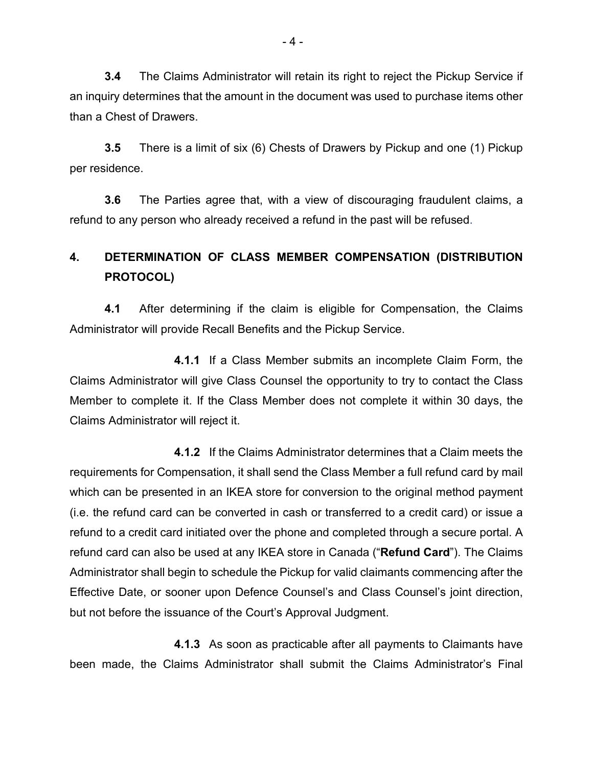**3.4** The Claims Administrator will retain its right to reject the Pickup Service if an inquiry determines that the amount in the document was used to purchase items other than a Chest of Drawers.

**3.5** There is a limit of six (6) Chests of Drawers by Pickup and one (1) Pickup per residence.

**3.6** The Parties agree that, with a view of discouraging fraudulent claims, a refund to any person who already received a refund in the past will be refused.

# **4. DETERMINATION OF CLASS MEMBER COMPENSATION (DISTRIBUTION PROTOCOL)**

**4.1** After determining if the claim is eligible for Compensation, the Claims Administrator will provide Recall Benefits and the Pickup Service.

**4.1.1** If a Class Member submits an incomplete Claim Form, the Claims Administrator will give Class Counsel the opportunity to try to contact the Class Member to complete it. If the Class Member does not complete it within 30 days, the Claims Administrator will reject it.

**4.1.2** If the Claims Administrator determines that a Claim meets the requirements for Compensation, it shall send the Class Member a full refund card by mail which can be presented in an IKEA store for conversion to the original method payment (i.e. the refund card can be converted in cash or transferred to a credit card) or issue a refund to a credit card initiated over the phone and completed through a secure portal. A refund card can also be used at any IKEA store in Canada ("**Refund Card**"). The Claims Administrator shall begin to schedule the Pickup for valid claimants commencing after the Effective Date, or sooner upon Defence Counsel's and Class Counsel's joint direction, but not before the issuance of the Court's Approval Judgment.

**4.1.3** As soon as practicable after all payments to Claimants have been made, the Claims Administrator shall submit the Claims Administrator's Final